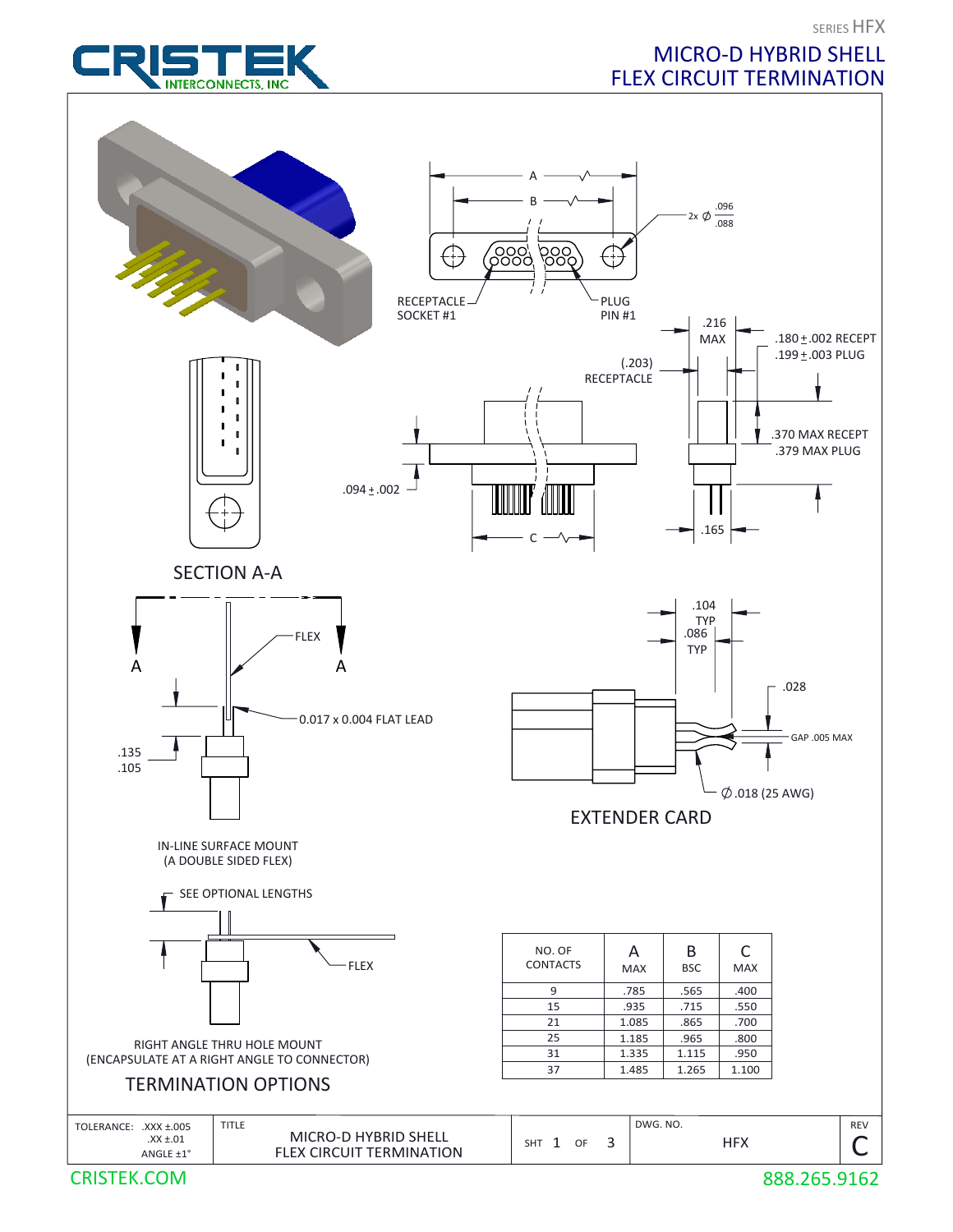



MICRO-D HYBRID SHELL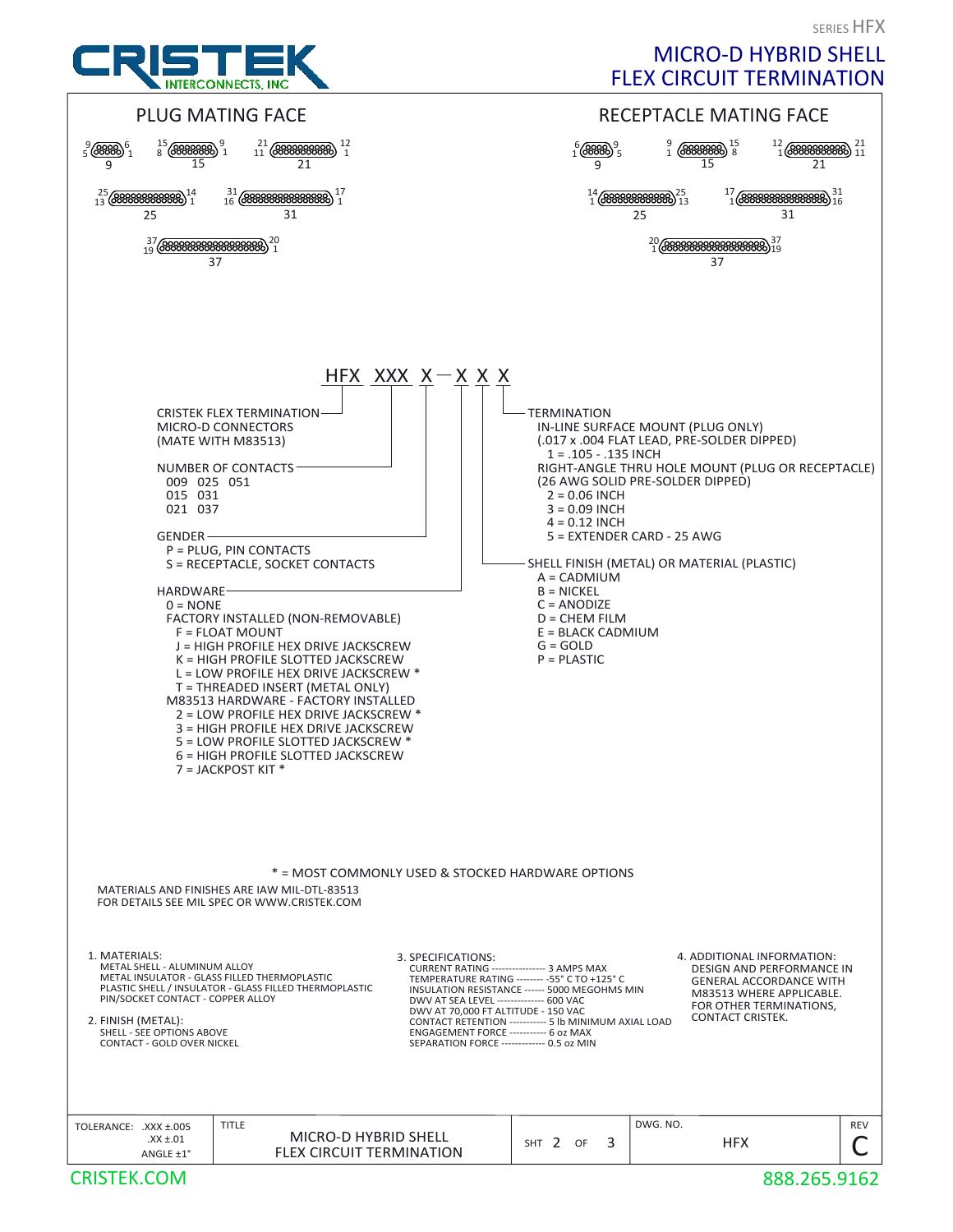

MICRO-D HYBRID SHELL FLEX CIRCUIT TERMINATION

SERIES HFX